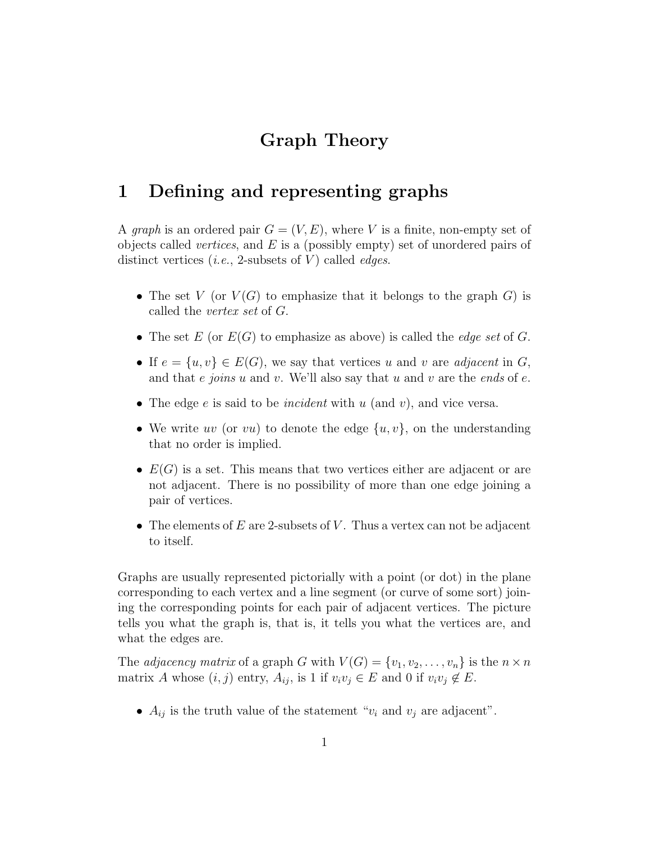# Graph Theory

# 1 Defining and representing graphs

A graph is an ordered pair  $G = (V, E)$ , where V is a finite, non-empty set of objects called *vertices*, and  $E$  is a (possibly empty) set of unordered pairs of distinct vertices (*i.e.*, 2-subsets of  $V$ ) called *edges*.

- The set V (or  $V(G)$  to emphasize that it belongs to the graph G) is called the vertex set of G.
- The set E (or  $E(G)$  to emphasize as above) is called the *edge set* of G.
- If  $e = \{u, v\} \in E(G)$ , we say that vertices u and v are adjacent in G, and that e joins u and v. We'll also say that u and v are the ends of e.
- The edge  $e$  is said to be *incident* with  $u$  (and  $v$ ), and vice versa.
- We write uv (or vu) to denote the edge  $\{u, v\}$ , on the understanding that no order is implied.
- $E(G)$  is a set. This means that two vertices either are adjacent or are not adjacent. There is no possibility of more than one edge joining a pair of vertices.
- The elements of  $E$  are 2-subsets of  $V$ . Thus a vertex can not be adjacent to itself.

Graphs are usually represented pictorially with a point (or dot) in the plane corresponding to each vertex and a line segment (or curve of some sort) joining the corresponding points for each pair of adjacent vertices. The picture tells you what the graph is, that is, it tells you what the vertices are, and what the edges are.

The *adjacency matrix* of a graph G with  $V(G) = \{v_1, v_2, \ldots, v_n\}$  is the  $n \times n$ matrix A whose  $(i, j)$  entry,  $A_{ij}$ , is 1 if  $v_i v_j \in E$  and 0 if  $v_i v_j \notin E$ .

•  $A_{ij}$  is the truth value of the statement " $v_i$  and  $v_j$  are adjacent".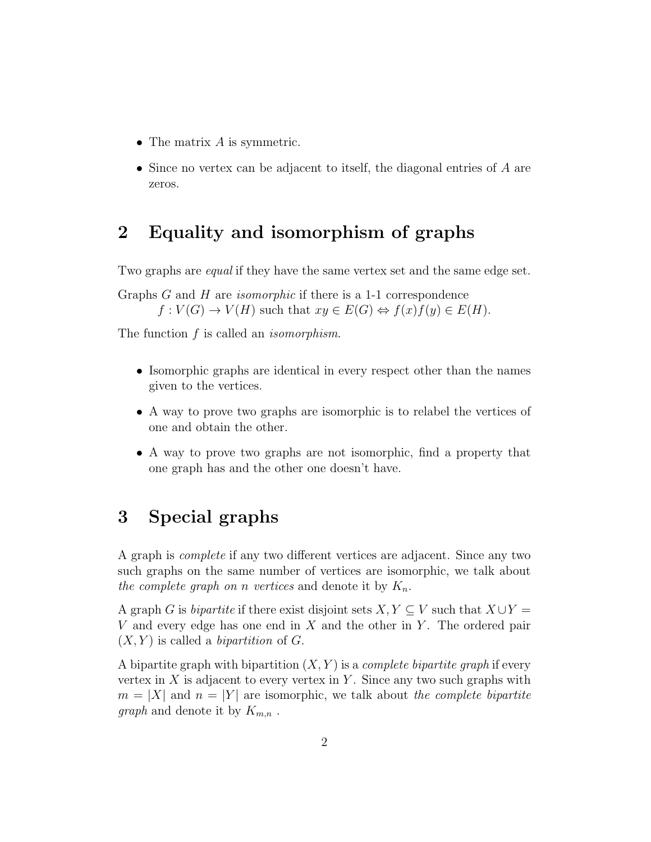- The matrix  $A$  is symmetric.
- Since no vertex can be adjacent to itself, the diagonal entries of A are zeros.

# 2 Equality and isomorphism of graphs

Two graphs are *equal* if they have the same vertex set and the same edge set.

Graphs G and H are *isomorphic* if there is a 1-1 correspondence  $f: V(G) \to V(H)$  such that  $xy \in E(G) \Leftrightarrow f(x)f(y) \in E(H)$ .

The function f is called an *isomorphism*.

- Isomorphic graphs are identical in every respect other than the names given to the vertices.
- A way to prove two graphs are isomorphic is to relabel the vertices of one and obtain the other.
- A way to prove two graphs are not isomorphic, find a property that one graph has and the other one doesn't have.

# 3 Special graphs

A graph is complete if any two different vertices are adjacent. Since any two such graphs on the same number of vertices are isomorphic, we talk about the complete graph on n vertices and denote it by  $K_n$ .

A graph G is *bipartite* if there exist disjoint sets  $X, Y \subseteq V$  such that  $X \cup Y =$ V and every edge has one end in  $X$  and the other in  $Y$ . The ordered pair  $(X, Y)$  is called a *bipartition* of G.

A bipartite graph with bipartition  $(X, Y)$  is a *complete bipartite graph* if every vertex in  $X$  is adjacent to every vertex in  $Y$ . Since any two such graphs with  $m = |X|$  and  $n = |Y|$  are isomorphic, we talk about the complete bipartite *graph* and denote it by  $K_{m,n}$ .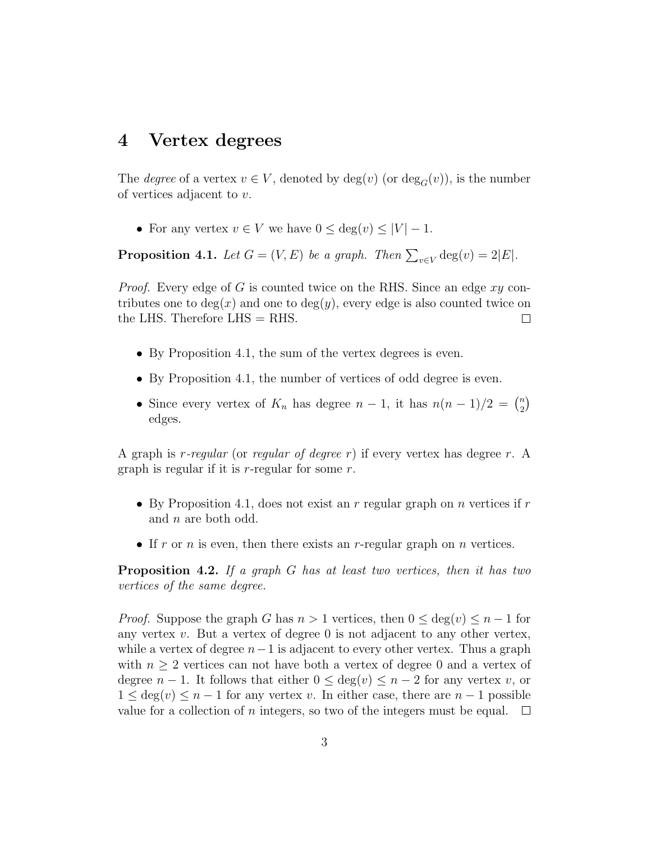#### 4 Vertex degrees

The *degree* of a vertex  $v \in V$ , denoted by  $deg(v)$  (or  $deg_G(v)$ ), is the number of vertices adjacent to v.

• For any vertex  $v \in V$  we have  $0 \leq \deg(v) \leq |V| - 1$ .

**Proposition 4.1.** Let  $G = (V, E)$  be a graph. Then  $\sum_{v \in V} \deg(v) = 2|E|$ .

*Proof.* Every edge of G is counted twice on the RHS. Since an edge  $xy$  contributes one to  $deg(x)$  and one to  $deg(y)$ , every edge is also counted twice on the LHS. Therefore LHS = RHS.  $\Box$ 

- By Proposition 4.1, the sum of the vertex degrees is even.
- By Proposition 4.1, the number of vertices of odd degree is even.
- Since every vertex of  $K_n$  has degree  $n-1$ , it has  $n(n-1)/2 = \binom{n}{2}$  $\binom{n}{2}$ edges.

A graph is r-regular (or regular of degree r) if every vertex has degree r. A graph is regular if it is  $r$ -regular for some  $r$ .

- By Proposition 4.1, does not exist an r regular graph on n vertices if r and n are both odd.
- If r or n is even, then there exists an r-regular graph on n vertices.

**Proposition 4.2.** If a graph  $G$  has at least two vertices, then it has two vertices of the same degree.

*Proof.* Suppose the graph G has  $n > 1$  vertices, then  $0 \le \deg(v) \le n - 1$  for any vertex  $v$ . But a vertex of degree 0 is not adjacent to any other vertex, while a vertex of degree  $n-1$  is adjacent to every other vertex. Thus a graph with  $n \geq 2$  vertices can not have both a vertex of degree 0 and a vertex of degree  $n-1$ . It follows that either  $0 \leq \deg(v) \leq n-2$  for any vertex v, or  $1 \leq \deg(v) \leq n-1$  for any vertex v. In either case, there are  $n-1$  possible value for a collection of n integers, so two of the integers must be equal.  $\Box$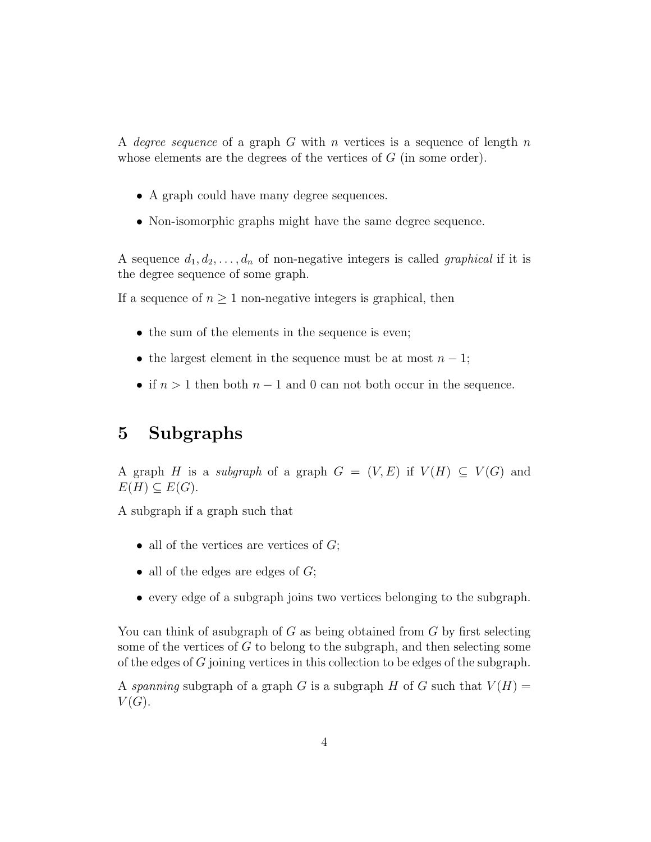A degree sequence of a graph G with n vertices is a sequence of length n whose elements are the degrees of the vertices of G (in some order).

- A graph could have many degree sequences.
- Non-isomorphic graphs might have the same degree sequence.

A sequence  $d_1, d_2, \ldots, d_n$  of non-negative integers is called *graphical* if it is the degree sequence of some graph.

If a sequence of  $n \geq 1$  non-negative integers is graphical, then

- the sum of the elements in the sequence is even;
- the largest element in the sequence must be at most  $n-1$ ;
- if  $n > 1$  then both  $n 1$  and 0 can not both occur in the sequence.

### 5 Subgraphs

A graph H is a subgraph of a graph  $G = (V, E)$  if  $V(H) \subseteq V(G)$  and  $E(H) \subseteq E(G)$ .

A subgraph if a graph such that

- all of the vertices are vertices of  $G$ ;
- all of the edges are edges of  $G$ ;
- every edge of a subgraph joins two vertices belonging to the subgraph.

You can think of asubgraph of  $G$  as being obtained from  $G$  by first selecting some of the vertices of G to belong to the subgraph, and then selecting some of the edges of G joining vertices in this collection to be edges of the subgraph.

A spanning subgraph of a graph G is a subgraph H of G such that  $V(H) =$  $V(G).$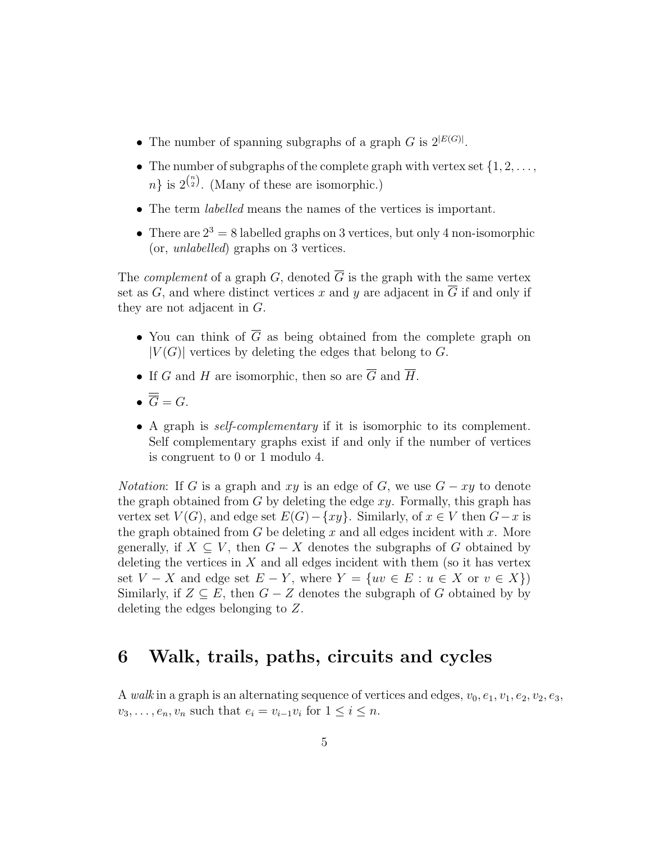- The number of spanning subgraphs of a graph G is  $2^{|E(G)|}$ .
- The number of subgraphs of the complete graph with vertex set  $\{1, 2, \ldots, \}$  $n\}$  is  $2^{n\choose 2}$ . (Many of these are isomorphic.)
- The term labelled means the names of the vertices is important.
- There are  $2^3 = 8$  labelled graphs on 3 vertices, but only 4 non-isomorphic (or, unlabelled) graphs on 3 vertices.

The *complement* of a graph G, denoted  $\overline{G}$  is the graph with the same vertex set as G, and where distinct vertices x and y are adjacent in  $\overline{G}$  if and only if they are not adjacent in G.

- You can think of  $\overline{G}$  as being obtained from the complete graph on  $|V(G)|$  vertices by deleting the edges that belong to G.
- If G and H are isomorphic, then so are  $\overline{G}$  and  $\overline{H}$ .
- $\bullet \ \overline{\overline{G}} = G.$
- A graph is self-complementary if it is isomorphic to its complement. Self complementary graphs exist if and only if the number of vertices is congruent to 0 or 1 modulo 4.

*Notation*: If G is a graph and xy is an edge of G, we use  $G - xy$  to denote the graph obtained from  $G$  by deleting the edge  $xy$ . Formally, this graph has vertex set  $V(G)$ , and edge set  $E(G) - \{xy\}$ . Similarly, of  $x \in V$  then  $G - x$  is the graph obtained from  $G$  be deleting  $x$  and all edges incident with  $x$ . More generally, if  $X \subseteq V$ , then  $G - X$  denotes the subgraphs of G obtained by deleting the vertices in  $X$  and all edges incident with them (so it has vertex set  $V - X$  and edge set  $E - Y$ , where  $Y = \{uv \in E : u \in X \text{ or } v \in X\}$ Similarly, if  $Z \subseteq E$ , then  $G - Z$  denotes the subgraph of G obtained by by deleting the edges belonging to Z.

### 6 Walk, trails, paths, circuits and cycles

A walk in a graph is an alternating sequence of vertices and edges,  $v_0, e_1, v_1, e_2, v_2, e_3$ ,  $v_3, \ldots, e_n, v_n$  such that  $e_i = v_{i-1}v_i$  for  $1 \leq i \leq n$ .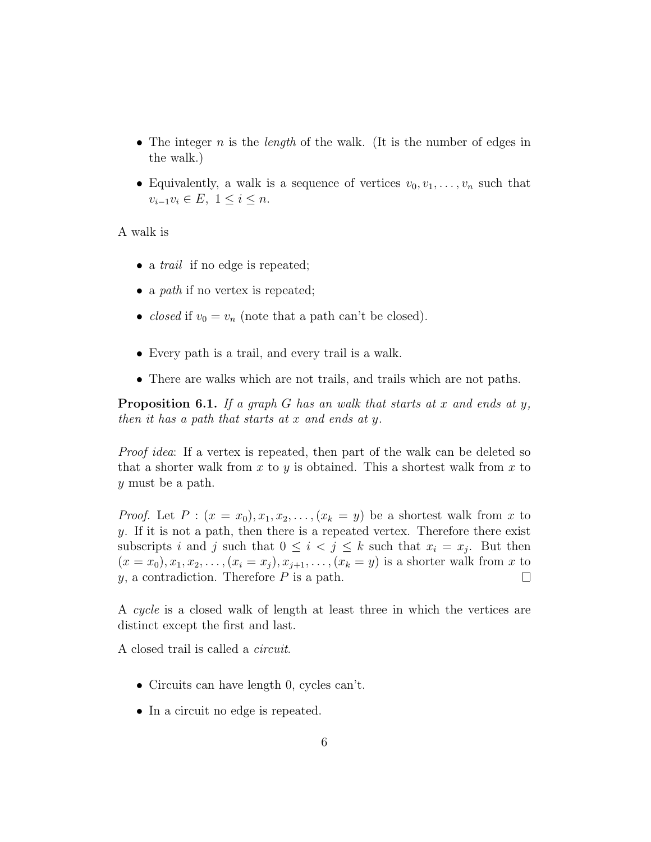- The integer n is the *length* of the walk. (It is the number of edges in the walk.)
- Equivalently, a walk is a sequence of vertices  $v_0, v_1, \ldots, v_n$  such that  $v_{i-1}v_i \in E, \ 1 \leq i \leq n.$

A walk is

- a *trail* if no edge is repeated;
- a *path* if no vertex is repeated;
- *closed* if  $v_0 = v_n$  (note that a path can't be closed).
- Every path is a trail, and every trail is a walk.
- There are walks which are not trails, and trails which are not paths.

**Proposition 6.1.** If a graph G has an walk that starts at x and ends at y, then it has a path that starts at x and ends at y.

Proof idea: If a vertex is repeated, then part of the walk can be deleted so that a shorter walk from x to y is obtained. This a shortest walk from x to y must be a path.

*Proof.* Let  $P: (x = x_0), x_1, x_2, \ldots, (x_k = y)$  be a shortest walk from x to y. If it is not a path, then there is a repeated vertex. Therefore there exist subscripts i and j such that  $0 \leq i < j \leq k$  such that  $x_i = x_j$ . But then  $(x = x_0), x_1, x_2, \ldots, (x_i = x_j), x_{j+1}, \ldots, (x_k = y)$  is a shorter walk from x to  $y$ , a contradiction. Therefore  $P$  is a path.  $\Box$ 

A cycle is a closed walk of length at least three in which the vertices are distinct except the first and last.

A closed trail is called a circuit.

- Circuits can have length 0, cycles can't.
- In a circuit no edge is repeated.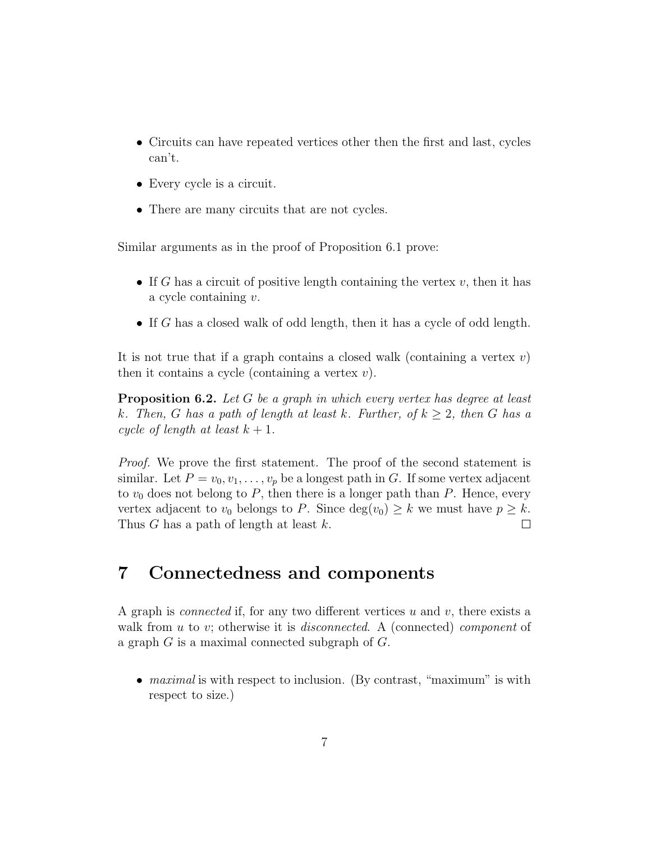- Circuits can have repeated vertices other then the first and last, cycles can't.
- Every cycle is a circuit.
- There are many circuits that are not cycles.

Similar arguments as in the proof of Proposition 6.1 prove:

- If G has a circuit of positive length containing the vertex v, then it has a cycle containing v.
- If G has a closed walk of odd length, then it has a cycle of odd length.

It is not true that if a graph contains a closed walk (containing a vertex  $v$ ) then it contains a cycle (containing a vertex  $v$ ).

**Proposition 6.2.** Let G be a graph in which every vertex has degree at least k. Then, G has a path of length at least k. Further, of  $k \geq 2$ , then G has a cycle of length at least  $k + 1$ .

Proof. We prove the first statement. The proof of the second statement is similar. Let  $P = v_0, v_1, \ldots, v_p$  be a longest path in G. If some vertex adjacent to  $v_0$  does not belong to P, then there is a longer path than P. Hence, every vertex adjacent to  $v_0$  belongs to P. Since  $deg(v_0) \geq k$  we must have  $p \geq k$ . Thus G has a path of length at least k.  $\Box$ 

#### 7 Connectedness and components

A graph is *connected* if, for any two different vertices u and v, there exists a walk from u to v; otherwise it is *disconnected*. A (connected) *component* of a graph  $G$  is a maximal connected subgraph of  $G$ .

• *maximal* is with respect to inclusion. (By contrast, "maximum" is with respect to size.)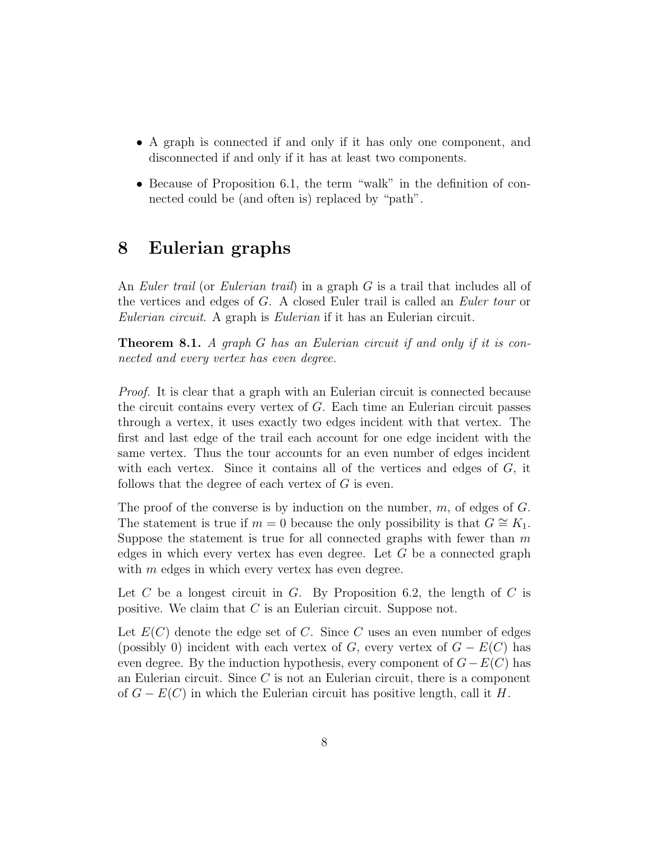- A graph is connected if and only if it has only one component, and disconnected if and only if it has at least two components.
- Because of Proposition 6.1, the term "walk" in the definition of connected could be (and often is) replaced by "path".

### 8 Eulerian graphs

An Euler trail (or Eulerian trail) in a graph G is a trail that includes all of the vertices and edges of G. A closed Euler trail is called an Euler tour or Eulerian circuit. A graph is Eulerian if it has an Eulerian circuit.

Theorem 8.1. A graph G has an Eulerian circuit if and only if it is connected and every vertex has even degree.

Proof. It is clear that a graph with an Eulerian circuit is connected because the circuit contains every vertex of G. Each time an Eulerian circuit passes through a vertex, it uses exactly two edges incident with that vertex. The first and last edge of the trail each account for one edge incident with the same vertex. Thus the tour accounts for an even number of edges incident with each vertex. Since it contains all of the vertices and edges of  $G$ , it follows that the degree of each vertex of  $G$  is even.

The proof of the converse is by induction on the number,  $m$ , of edges of  $G$ . The statement is true if  $m = 0$  because the only possibility is that  $G \cong K_1$ . Suppose the statement is true for all connected graphs with fewer than  $m$ edges in which every vertex has even degree. Let  $G$  be a connected graph with  $m$  edges in which every vertex has even degree.

Let C be a longest circuit in G. By Proposition 6.2, the length of C is positive. We claim that C is an Eulerian circuit. Suppose not.

Let  $E(C)$  denote the edge set of C. Since C uses an even number of edges (possibly 0) incident with each vertex of  $G$ , every vertex of  $G - E(C)$  has even degree. By the induction hypothesis, every component of  $G-E(C)$  has an Eulerian circuit. Since C is not an Eulerian circuit, there is a component of  $G - E(C)$  in which the Eulerian circuit has positive length, call it H.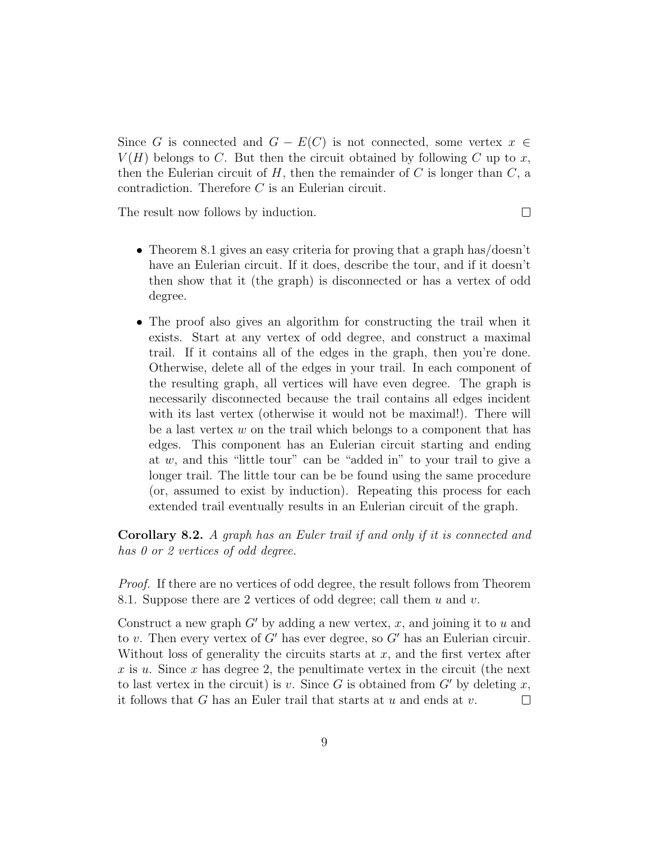Since G is connected and  $G - E(C)$  is not connected, some vertex  $x \in$  $V(H)$  belongs to C. But then the circuit obtained by following C up to x, then the Eulerian circuit of  $H$ , then the remainder of C is longer than  $C$ , a contradiction. Therefore C is an Eulerian circuit.

The result now follows by induction.

- $\Box$
- Theorem 8.1 gives an easy criteria for proving that a graph has/doesn't have an Eulerian circuit. If it does, describe the tour, and if it doesn't then show that it (the graph) is disconnected or has a vertex of odd degree.
- The proof also gives an algorithm for constructing the trail when it exists. Start at any vertex of odd degree, and construct a maximal trail. If it contains all of the edges in the graph, then you're done. Otherwise, delete all of the edges in your trail. In each component of the resulting graph, all vertices will have even degree. The graph is necessarily disconnected because the trail contains all edges incident with its last vertex (otherwise it would not be maximal!). There will be a last vertex  $w$  on the trail which belongs to a component that has edges. This component has an Eulerian circuit starting and ending at  $w$ , and this "little tour" can be "added in" to your trail to give a longer trail. The little tour can be be found using the same procedure (or, assumed to exist by induction). Repeating this process for each extended trail eventually results in an Eulerian circuit of the graph.

Corollary 8.2. A graph has an Euler trail if and only if it is connected and has 0 or 2 vertices of odd degree.

Proof. If there are no vertices of odd degree, the result follows from Theorem 8.1. Suppose there are 2 vertices of odd degree; call them  $u$  and  $v$ .

Construct a new graph  $G'$  by adding a new vertex, x, and joining it to u and to v. Then every vertex of  $G'$  has ever degree, so  $G'$  has an Eulerian circuir. Without loss of generality the circuits starts at  $x$ , and the first vertex after x is u. Since x has degree 2, the penultimate vertex in the circuit (the next to last vertex in the circuit) is v. Since G is obtained from  $G'$  by deleting x, it follows that G has an Euler trail that starts at  $u$  and ends at  $v$ .  $\Box$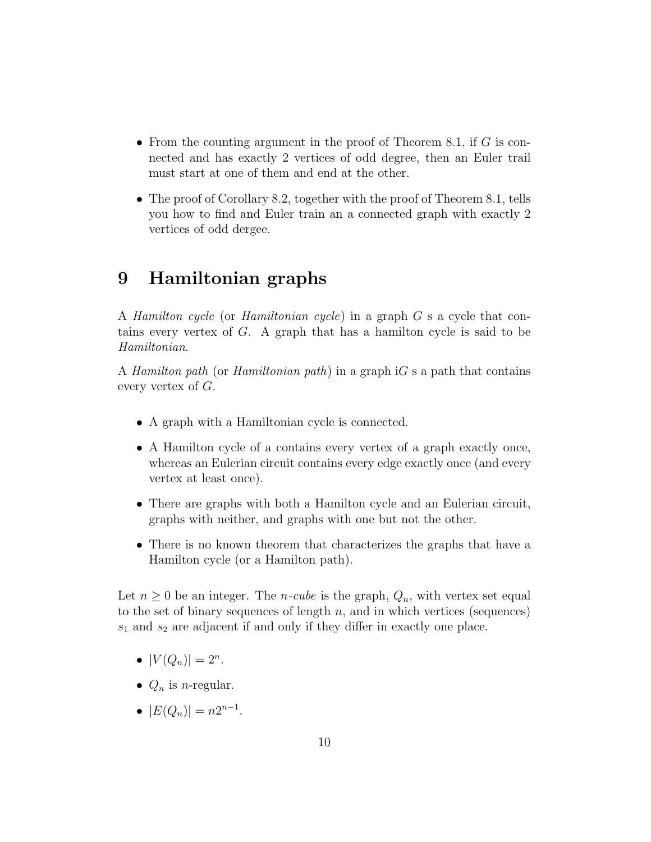- From the counting argument in the proof of Theorem 8.1, if  $G$  is connected and has exactly 2 vertices of odd degree, then an Euler trail must start at one of them and end at the other.
- The proof of Corollary 8.2, together with the proof of Theorem 8.1, tells you how to find and Euler train an a connected graph with exactly 2 vertices of odd dergee.

# 9 Hamiltonian graphs

A Hamilton cycle (or Hamiltonian cycle) in a graph G s a cycle that contains every vertex of G. A graph that has a hamilton cycle is said to be Hamiltonian.

A Hamilton path (or Hamiltonian path) in a graph  $iG$  s a path that contains every vertex of G.

- A graph with a Hamiltonian cycle is connected.
- A Hamilton cycle of a contains every vertex of a graph exactly once, whereas an Eulerian circuit contains every edge exactly once (and every vertex at least once).
- There are graphs with both a Hamilton cycle and an Eulerian circuit, graphs with neither, and graphs with one but not the other.
- There is no known theorem that characterizes the graphs that have a Hamilton cycle (or a Hamilton path).

Let  $n \geq 0$  be an integer. The *n-cube* is the graph,  $Q_n$ , with vertex set equal to the set of binary sequences of length  $n$ , and in which vertices (sequences)  $s_1$  and  $s_2$  are adjacent if and only if they differ in exactly one place.

- $|V(Q_n)| = 2^n$ .
- $Q_n$  is *n*-regular.
- $|E(Q_n)| = n2^{n-1}$ .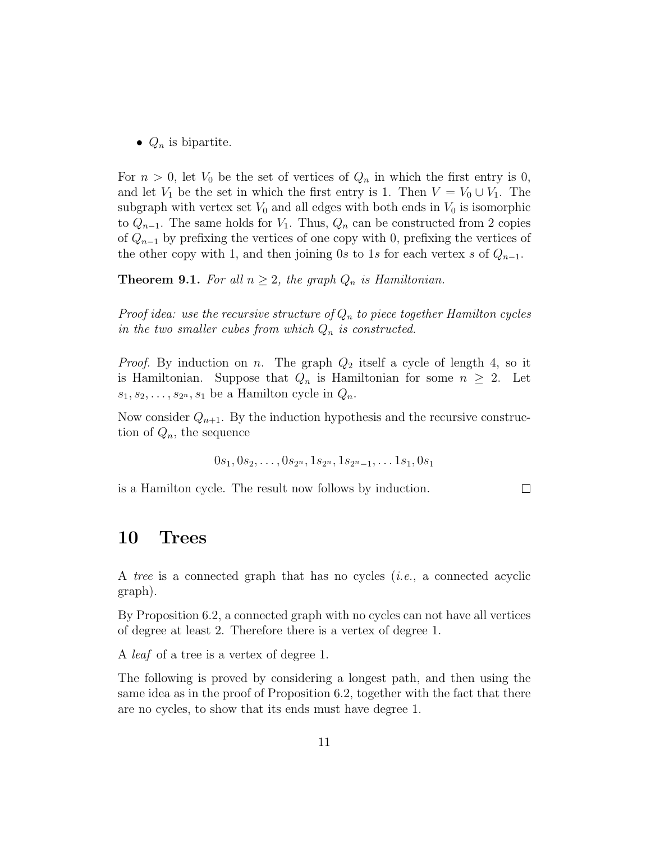•  $Q_n$  is bipartite.

For  $n > 0$ , let  $V_0$  be the set of vertices of  $Q_n$  in which the first entry is 0, and let  $V_1$  be the set in which the first entry is 1. Then  $V = V_0 \cup V_1$ . The subgraph with vertex set  $V_0$  and all edges with both ends in  $V_0$  is isomorphic to  $Q_{n-1}$ . The same holds for  $V_1$ . Thus,  $Q_n$  can be constructed from 2 copies of  $Q_{n-1}$  by prefixing the vertices of one copy with 0, prefixing the vertices of the other copy with 1, and then joining 0s to 1s for each vertex s of  $Q_{n-1}$ .

**Theorem 9.1.** For all  $n \geq 2$ , the graph  $Q_n$  is Hamiltonian.

Proof idea: use the recursive structure of  $Q_n$  to piece together Hamilton cycles in the two smaller cubes from which  $Q_n$  is constructed.

*Proof.* By induction on n. The graph  $Q_2$  itself a cycle of length 4, so it is Hamiltonian. Suppose that  $Q_n$  is Hamiltonian for some  $n \geq 2$ . Let  $s_1, s_2, \ldots, s_{2n}, s_1$  be a Hamilton cycle in  $Q_n$ .

Now consider  $Q_{n+1}$ . By the induction hypothesis and the recursive construction of  $Q_n$ , the sequence

$$
0s_1, 0s_2, \ldots, 0s_{2^n}, 1s_{2^n}, 1s_{2^n-1}, \ldots 1s_1, 0s_1
$$

is a Hamilton cycle. The result now follows by induction.

 $\Box$ 

#### 10 Trees

A tree is a connected graph that has no cycles (i.e., a connected acyclic graph).

By Proposition 6.2, a connected graph with no cycles can not have all vertices of degree at least 2. Therefore there is a vertex of degree 1.

A leaf of a tree is a vertex of degree 1.

The following is proved by considering a longest path, and then using the same idea as in the proof of Proposition 6.2, together with the fact that there are no cycles, to show that its ends must have degree 1.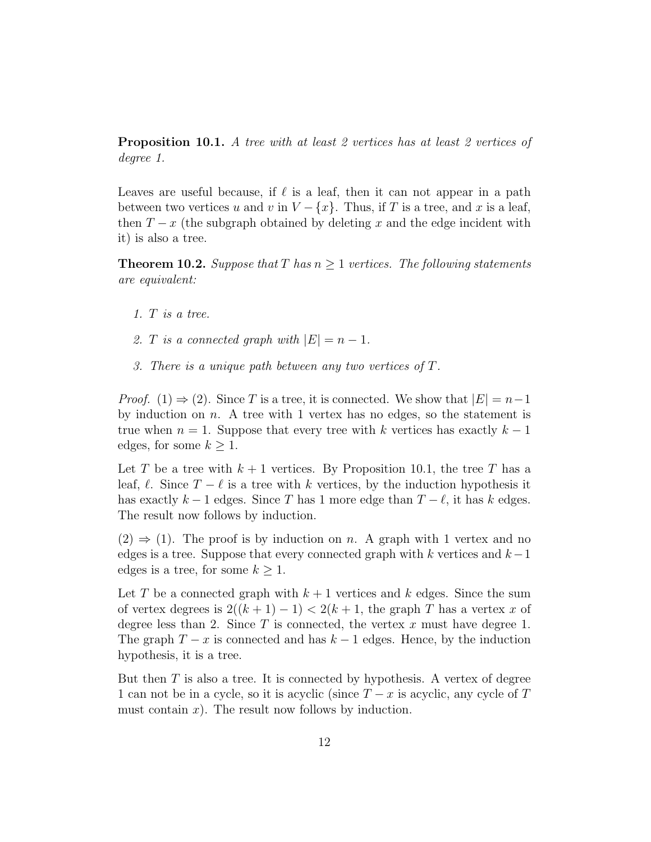**Proposition 10.1.** A tree with at least 2 vertices has at least 2 vertices of degree 1.

Leaves are useful because, if  $\ell$  is a leaf, then it can not appear in a path between two vertices u and v in  $V - \{x\}$ . Thus, if T is a tree, and x is a leaf, then  $T - x$  (the subgraph obtained by deleting x and the edge incident with it) is also a tree.

**Theorem 10.2.** Suppose that T has  $n \geq 1$  vertices. The following statements are equivalent:

- 1. T is a tree.
- 2. T is a connected graph with  $|E| = n 1$ .
- 3. There is a unique path between any two vertices of T.

*Proof.* (1)  $\Rightarrow$  (2). Since T is a tree, it is connected. We show that  $|E| = n-1$ by induction on  $n$ . A tree with 1 vertex has no edges, so the statement is true when  $n = 1$ . Suppose that every tree with k vertices has exactly  $k - 1$ edges, for some  $k \geq 1$ .

Let T be a tree with  $k+1$  vertices. By Proposition 10.1, the tree T has a leaf,  $\ell$ . Since  $T - \ell$  is a tree with k vertices, by the induction hypothesis it has exactly  $k - 1$  edges. Since T has 1 more edge than  $T - \ell$ , it has k edges. The result now follows by induction.

 $(2) \Rightarrow (1)$ . The proof is by induction on n. A graph with 1 vertex and no edges is a tree. Suppose that every connected graph with k vertices and  $k-1$ edges is a tree, for some  $k \geq 1$ .

Let T be a connected graph with  $k+1$  vertices and k edges. Since the sum of vertex degrees is  $2((k+1)-1) < 2(k+1)$ , the graph T has a vertex x of degree less than 2. Since  $T$  is connected, the vertex  $x$  must have degree 1. The graph  $T - x$  is connected and has  $k - 1$  edges. Hence, by the induction hypothesis, it is a tree.

But then  $T$  is also a tree. It is connected by hypothesis. A vertex of degree 1 can not be in a cycle, so it is acyclic (since  $T - x$  is acyclic, any cycle of T must contain  $x$ ). The result now follows by induction.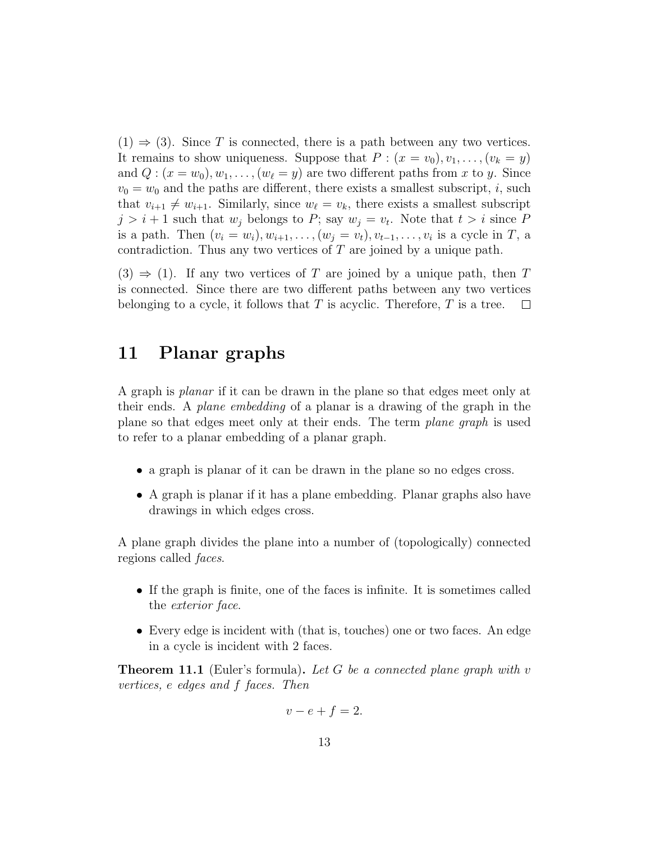$(1) \Rightarrow (3)$ . Since T is connected, there is a path between any two vertices. It remains to show uniqueness. Suppose that  $P: (x = v_0), v_1, \ldots, (v_k = y)$ and  $Q: (x = w_0), w_1, \ldots, (w_\ell = y)$  are two different paths from x to y. Since  $v_0 = w_0$  and the paths are different, there exists a smallest subscript, i, such that  $v_{i+1} \neq w_{i+1}$ . Similarly, since  $w_{\ell} = v_k$ , there exists a smallest subscript  $j > i + 1$  such that  $w_j$  belongs to P; say  $w_j = v_t$ . Note that  $t > i$  since P is a path. Then  $(v_i = w_i), w_{i+1}, \ldots, (w_j = v_t), v_{t-1}, \ldots, v_i$  is a cycle in T, a contradiction. Thus any two vertices of  $T$  are joined by a unique path.

 $(3) \Rightarrow (1)$ . If any two vertices of T are joined by a unique path, then T is connected. Since there are two different paths between any two vertices belonging to a cycle, it follows that  $T$  is acyclic. Therefore,  $T$  is a tree.  $\Box$ 

# 11 Planar graphs

A graph is planar if it can be drawn in the plane so that edges meet only at their ends. A plane embedding of a planar is a drawing of the graph in the plane so that edges meet only at their ends. The term plane graph is used to refer to a planar embedding of a planar graph.

- a graph is planar of it can be drawn in the plane so no edges cross.
- A graph is planar if it has a plane embedding. Planar graphs also have drawings in which edges cross.

A plane graph divides the plane into a number of (topologically) connected regions called faces.

- If the graph is finite, one of the faces is infinite. It is sometimes called the exterior face.
- Every edge is incident with (that is, touches) one or two faces. An edge in a cycle is incident with 2 faces.

**Theorem 11.1** (Euler's formula). Let G be a connected plane graph with v vertices, e edges and f faces. Then

$$
v - e + f = 2.
$$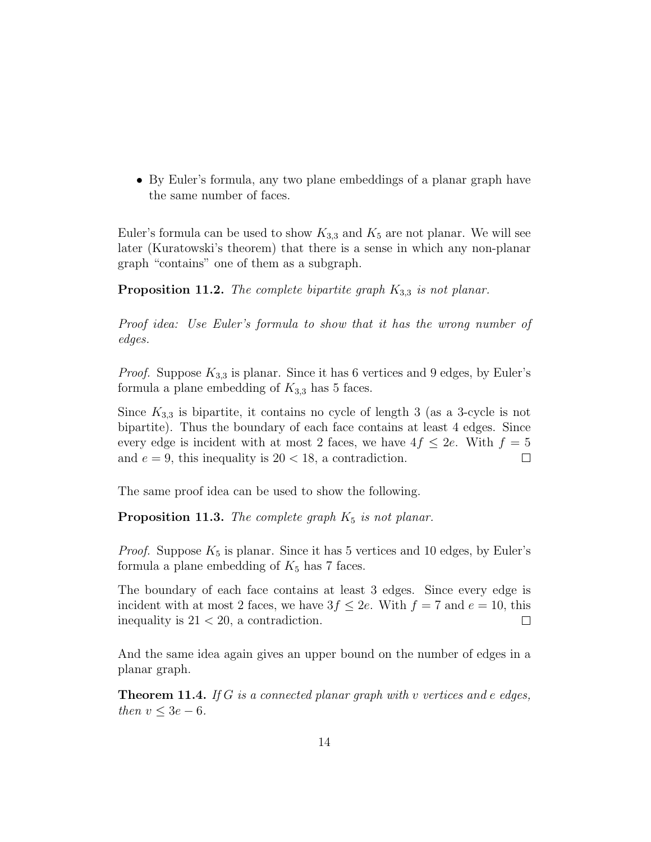• By Euler's formula, any two plane embeddings of a planar graph have the same number of faces.

Euler's formula can be used to show  $K_{3,3}$  and  $K_5$  are not planar. We will see later (Kuratowski's theorem) that there is a sense in which any non-planar graph "contains" one of them as a subgraph.

**Proposition 11.2.** The complete bipartite graph  $K_{3,3}$  is not planar.

Proof idea: Use Euler's formula to show that it has the wrong number of edges.

*Proof.* Suppose  $K_{3,3}$  is planar. Since it has 6 vertices and 9 edges, by Euler's formula a plane embedding of  $K_{3,3}$  has 5 faces.

Since  $K_{3,3}$  is bipartite, it contains no cycle of length 3 (as a 3-cycle is not bipartite). Thus the boundary of each face contains at least 4 edges. Since every edge is incident with at most 2 faces, we have  $4f \leq 2e$ . With  $f = 5$ and  $e = 9$ , this inequality is  $20 < 18$ , a contradiction.  $\Box$ 

The same proof idea can be used to show the following.

**Proposition 11.3.** The complete graph  $K_5$  is not planar.

*Proof.* Suppose  $K_5$  is planar. Since it has 5 vertices and 10 edges, by Euler's formula a plane embedding of  $K_5$  has 7 faces.

The boundary of each face contains at least 3 edges. Since every edge is incident with at most 2 faces, we have  $3f \leq 2e$ . With  $f = 7$  and  $e = 10$ , this inequality is  $21 < 20$ , a contradiction.  $\Box$ 

And the same idea again gives an upper bound on the number of edges in a planar graph.

**Theorem 11.4.** If G is a connected planar graph with v vertices and e edges, then  $v \leq 3e - 6$ .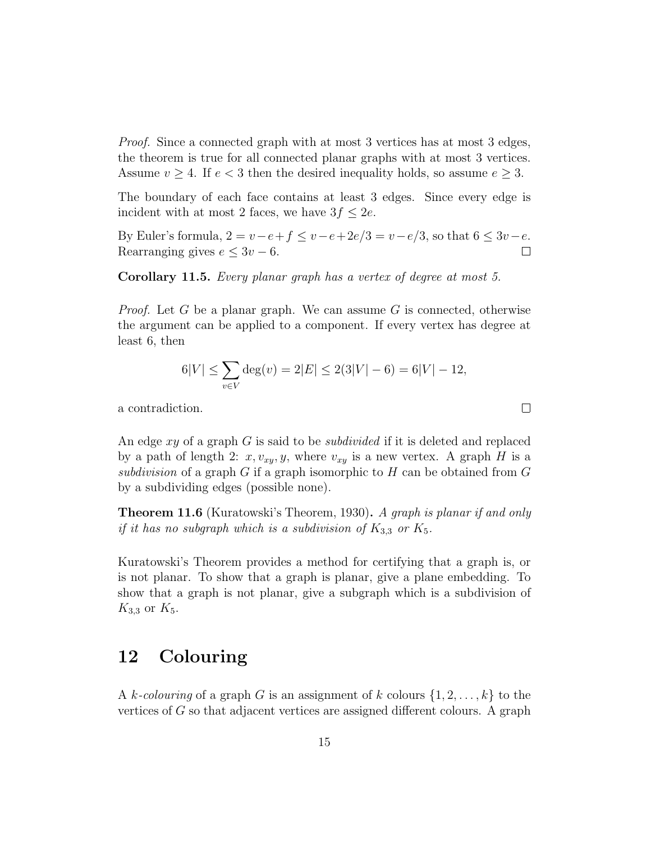Proof. Since a connected graph with at most 3 vertices has at most 3 edges, the theorem is true for all connected planar graphs with at most 3 vertices. Assume  $v \geq 4$ . If  $e < 3$  then the desired inequality holds, so assume  $e \geq 3$ .

The boundary of each face contains at least 3 edges. Since every edge is incident with at most 2 faces, we have  $3f \leq 2e$ .

By Euler's formula,  $2 = v - e + f \le v - e + 2e/3 = v - e/3$ , so that  $6 \le 3v - e$ . Rearranging gives  $e \leq 3v - 6$ .  $\Box$ 

Corollary 11.5. Every planar graph has a vertex of degree at most 5.

*Proof.* Let G be a planar graph. We can assume G is connected, otherwise the argument can be applied to a component. If every vertex has degree at least 6, then

$$
6|V| \le \sum_{v \in V} \deg(v) = 2|E| \le 2(3|V| - 6) = 6|V| - 12,
$$

 $\Box$ 

a contradiction.

An edge xy of a graph G is said to be *subdivided* if it is deleted and replaced by a path of length 2:  $x, v_{xy}, y$ , where  $v_{xy}$  is a new vertex. A graph H is a subdivision of a graph  $G$  if a graph isomorphic to  $H$  can be obtained from  $G$ by a subdividing edges (possible none).

**Theorem 11.6** (Kuratowski's Theorem, 1930). A graph is planar if and only if it has no subgraph which is a subdivision of  $K_{3,3}$  or  $K_5$ .

Kuratowski's Theorem provides a method for certifying that a graph is, or is not planar. To show that a graph is planar, give a plane embedding. To show that a graph is not planar, give a subgraph which is a subdivision of  $K_{3,3}$  or  $K_5$ .

### 12 Colouring

A k-colouring of a graph G is an assignment of k colours  $\{1, 2, \ldots, k\}$  to the vertices of G so that adjacent vertices are assigned different colours. A graph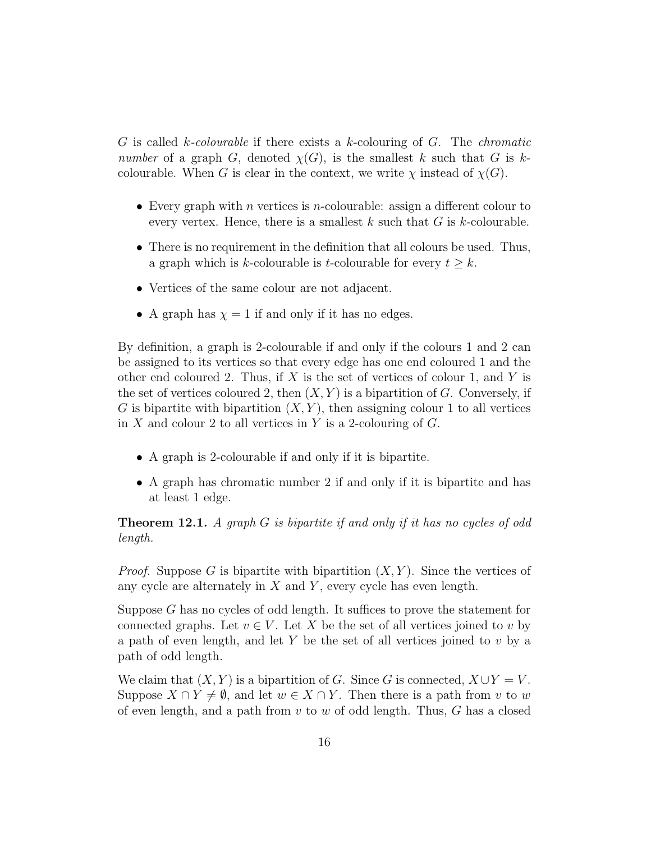G is called k-colourable if there exists a k-colouring of G. The *chromatic* number of a graph G, denoted  $\chi(G)$ , is the smallest k such that G is kcolourable. When G is clear in the context, we write  $\chi$  instead of  $\chi(G)$ .

- Every graph with *n* vertices is *n*-colourable: assign a different colour to every vertex. Hence, there is a smallest  $k$  such that  $G$  is  $k$ -colourable.
- There is no requirement in the definition that all colours be used. Thus, a graph which is k-colourable is t-colourable for every  $t \geq k$ .
- Vertices of the same colour are not adjacent.
- A graph has  $\chi = 1$  if and only if it has no edges.

By definition, a graph is 2-colourable if and only if the colours 1 and 2 can be assigned to its vertices so that every edge has one end coloured 1 and the other end coloured 2. Thus, if X is the set of vertices of colour 1, and Y is the set of vertices coloured 2, then  $(X, Y)$  is a bipartition of G. Conversely, if G is bipartite with bipartition  $(X, Y)$ , then assigning colour 1 to all vertices in X and colour 2 to all vertices in Y is a 2-colouring of  $G$ .

- A graph is 2-colourable if and only if it is bipartite.
- A graph has chromatic number 2 if and only if it is bipartite and has at least 1 edge.

**Theorem 12.1.** A graph  $G$  is bipartite if and only if it has no cycles of odd length.

*Proof.* Suppose G is bipartite with bipartition  $(X, Y)$ . Since the vertices of any cycle are alternately in  $X$  and  $Y$ , every cycle has even length.

Suppose G has no cycles of odd length. It suffices to prove the statement for connected graphs. Let  $v \in V$ . Let X be the set of all vertices joined to v by a path of even length, and let Y be the set of all vertices joined to  $v$  by a path of odd length.

We claim that  $(X, Y)$  is a bipartition of G. Since G is connected,  $X \cup Y = V$ . Suppose  $X \cap Y \neq \emptyset$ , and let  $w \in X \cap Y$ . Then there is a path from v to w of even length, and a path from  $v$  to  $w$  of odd length. Thus,  $G$  has a closed